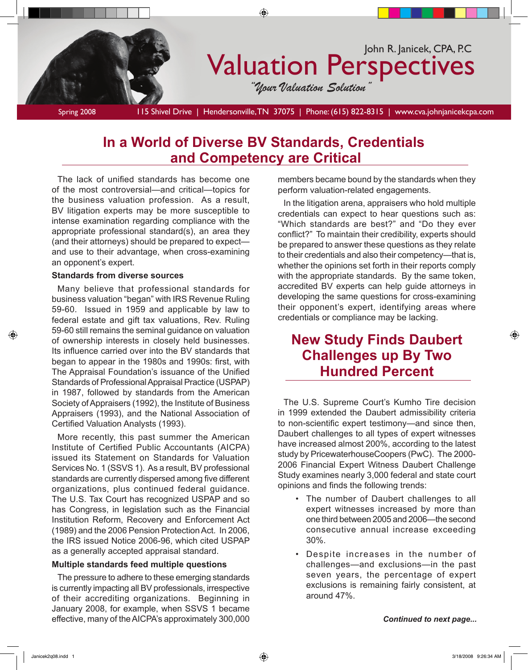

# **In a World of Diverse BV Standards, Credentials and Competency are Critical**

The lack of unified standards has become one of the most controversial—and critical—topics for the business valuation profession. As a result, BV litigation experts may be more susceptible to intense examination regarding compliance with the appropriate professional standard(s), an area they (and their attorneys) should be prepared to expect and use to their advantage, when cross-examining an opponent's expert.

### **Standards from diverse sources**

Many believe that professional standards for business valuation "began" with IRS Revenue Ruling 59-60. Issued in 1959 and applicable by law to federal estate and gift tax valuations, Rev. Ruling 59-60 still remains the seminal guidance on valuation of ownership interests in closely held businesses. Its influence carried over into the BV standards that began to appear in the 1980s and 1990s: first, with The Appraisal Foundation's issuance of the Unified Standards of Professional Appraisal Practice (USPAP) in 1987, followed by standards from the American Society of Appraisers (1992), the Institute of Business Appraisers (1993), and the National Association of Certified Valuation Analysts (1993).

More recently, this past summer the American Institute of Certified Public Accountants (AICPA) issued its Statement on Standards for Valuation Services No. 1 (SSVS 1). As a result, BV professional standards are currently dispersed among five different organizations, plus continued federal guidance. The U.S. Tax Court has recognized USPAP and so has Congress, in legislation such as the Financial Institution Reform, Recovery and Enforcement Act (1989) and the 2006 Pension Protection Act. In 2006, the IRS issued Notice 2006-96, which cited USPAP as a generally accepted appraisal standard.

#### **Multiple standards feed multiple questions**

The pressure to adhere to these emerging standards is currently impacting all BV professionals, irrespective of their accrediting organizations. Beginning in January 2008, for example, when SSVS 1 became effective, many of the AICPA's approximately 300,000 members became bound by the standards when they perform valuation-related engagements.

In the litigation arena, appraisers who hold multiple credentials can expect to hear questions such as: "Which standards are best?" and "Do they ever conflict?" To maintain their credibility, experts should be prepared to answer these questions as they relate to their credentials and also their competency—that is, whether the opinions set forth in their reports comply with the appropriate standards. By the same token, accredited BV experts can help guide attorneys in developing the same questions for cross-examining their opponent's expert, identifying areas where credentials or compliance may be lacking.

## **New Study Finds Daubert Challenges up By Two Hundred Percent**

The U.S. Supreme Court's Kumho Tire decision in 1999 extended the Daubert admissibility criteria to non-scientific expert testimony—and since then, Daubert challenges to all types of expert witnesses have increased almost 200%, according to the latest study by PricewaterhouseCoopers (PwC). The 2000- 2006 Financial Expert Witness Daubert Challenge Study examines nearly 3,000 federal and state court opinions and finds the following trends:

- The number of Daubert challenges to all expert witnesses increased by more than one third between 2005 and 2006—the second consecutive annual increase exceeding 30%.
- Despite increases in the number of challenges—and exclusions—in the past seven years, the percentage of expert exclusions is remaining fairly consistent, at around 47%.

*Continued to next page...*

⊕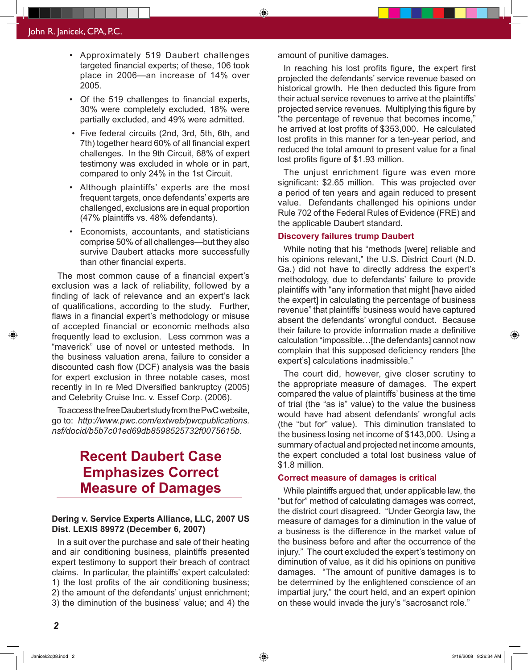- Approximately 519 Daubert challenges targeted financial experts; of these, 106 took place in 2006—an increase of 14% over 2005.
- Of the 519 challenges to financial experts, 30% were completely excluded, 18% were partially excluded, and 49% were admitted.
- Five federal circuits (2nd, 3rd, 5th, 6th, and 7th) together heard 60% of all financial expert challenges. In the 9th Circuit, 68% of expert testimony was excluded in whole or in part, compared to only 24% in the 1st Circuit.
- Although plaintiffs' experts are the most frequent targets, once defendants' experts are challenged, exclusions are in equal proportion (47% plaintiffs vs. 48% defendants).
- Economists, accountants, and statisticians comprise 50% of all challenges—but they also survive Daubert attacks more successfully than other financial experts.

The most common cause of a financial expert's exclusion was a lack of reliability, followed by a finding of lack of relevance and an expert's lack of qualifications, according to the study. Further, flaws in a financial expert's methodology or misuse of accepted financial or economic methods also frequently lead to exclusion. Less common was a "maverick" use of novel or untested methods. In the business valuation arena, failure to consider a discounted cash flow (DCF) analysis was the basis for expert exclusion in three notable cases, most recently in In re Med Diversified bankruptcy (2005) and Celebrity Cruise Inc. v. Essef Corp. (2006).

To access the free Daubert study from the PwC website, go to: *http://www.pwc.com/extweb/pwcpublications. nsf/docid/b5b7c01ed69db8598525732f0075615b.*

# **Recent Daubert Case Emphasizes Correct Measure of Damages**

### **Dering v. Service Experts Alliance, LLC, 2007 US Dist. LEXIS 89972 (December 6, 2007)**

In a suit over the purchase and sale of their heating and air conditioning business, plaintiffs presented expert testimony to support their breach of contract claims. In particular, the plaintiffs' expert calculated: 1) the lost profits of the air conditioning business; 2) the amount of the defendants' unjust enrichment; 3) the diminution of the business' value; and 4) the

amount of punitive damages.

♠

In reaching his lost profits figure, the expert first projected the defendants' service revenue based on historical growth. He then deducted this figure from their actual service revenues to arrive at the plaintiffs' projected service revenues. Multiplying this figure by "the percentage of revenue that becomes income," he arrived at lost profits of \$353,000. He calculated lost profits in this manner for a ten-year period, and reduced the total amount to present value for a final lost profits figure of \$1.93 million.

The unjust enrichment figure was even more significant: \$2.65 million. This was projected over a period of ten years and again reduced to present value. Defendants challenged his opinions under Rule 702 of the Federal Rules of Evidence (FRE) and the applicable Daubert standard.

#### **Discovery failures trump Daubert**

While noting that his "methods [were] reliable and his opinions relevant," the U.S. District Court (N.D. Ga.) did not have to directly address the expert's methodology, due to defendants' failure to provide plaintiffs with "any information that might [have aided the expert] in calculating the percentage of business revenue" that plaintiffs' business would have captured absent the defendants' wrongful conduct. Because their failure to provide information made a definitive calculation "impossible…[the defendants] cannot now complain that this supposed deficiency renders [the expert's] calculations inadmissible."

The court did, however, give closer scrutiny to the appropriate measure of damages. The expert compared the value of plaintiffs' business at the time of trial (the "as is" value) to the value the business would have had absent defendants' wrongful acts (the "but for" value). This diminution translated to the business losing net income of \$143,000. Using a summary of actual and projected net income amounts, the expert concluded a total lost business value of \$1.8 million.

#### **Correct measure of damages is critical**

While plaintiffs argued that, under applicable law, the "but for" method of calculating damages was correct, the district court disagreed. "Under Georgia law, the measure of damages for a diminution in the value of a business is the difference in the market value of the business before and after the occurrence of the injury." The court excluded the expert's testimony on diminution of value, as it did his opinions on punitive damages. "The amount of punitive damages is to be determined by the enlightened conscience of an impartial jury," the court held, and an expert opinion on these would invade the jury's "sacrosanct role."

⊕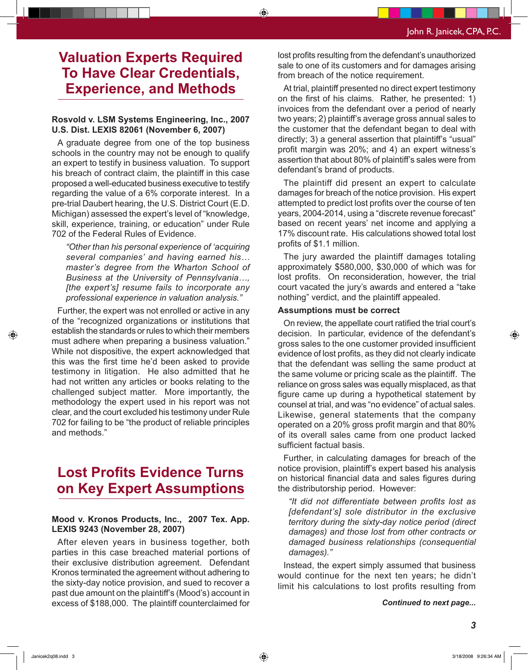# **Valuation Experts Required To Have Clear Credentials, Experience, and Methods**

### **Rosvold v. LSM Systems Engineering, Inc., 2007 U.S. Dist. LEXIS 82061 (November 6, 2007)**

A graduate degree from one of the top business schools in the country may not be enough to qualify an expert to testify in business valuation. To support his breach of contract claim, the plaintiff in this case proposed a well-educated business executive to testify regarding the value of a 6% corporate interest. In a pre-trial Daubert hearing, the U.S. District Court (E.D. Michigan) assessed the expert's level of "knowledge, skill, experience, training, or education" under Rule 702 of the Federal Rules of Evidence.

*"Other than his personal experience of 'acquiring several companies' and having earned his… master's degree from the Wharton School of Business at the University of Pennsylvania…, [the expert's] resume fails to incorporate any professional experience in valuation analysis."*

Further, the expert was not enrolled or active in any of the "recognized organizations or institutions that establish the standards or rules to which their members must adhere when preparing a business valuation." While not dispositive, the expert acknowledged that this was the first time he'd been asked to provide testimony in litigation. He also admitted that he had not written any articles or books relating to the challenged subject matter. More importantly, the methodology the expert used in his report was not clear, and the court excluded his testimony under Rule 702 for failing to be "the product of reliable principles and methods."

# **Lost Profits Evidence Turns on Key Expert Assumptions**

### **Mood v. Kronos Products, Inc., 2007 Tex. App. LEXIS 9243 (November 28, 2007)**

After eleven years in business together, both parties in this case breached material portions of their exclusive distribution agreement. Defendant Kronos terminated the agreement without adhering to the sixty-day notice provision, and sued to recover a past due amount on the plaintiff's (Mood's) account in excess of \$188,000. The plaintiff counterclaimed for lost profits resulting from the defendant's unauthorized sale to one of its customers and for damages arising from breach of the notice requirement.

◈

At trial, plaintiff presented no direct expert testimony on the first of his claims. Rather, he presented: 1) invoices from the defendant over a period of nearly two years; 2) plaintiff's average gross annual sales to the customer that the defendant began to deal with directly; 3) a general assertion that plaintiff's "usual" profit margin was 20%; and 4) an expert witness's assertion that about 80% of plaintiff's sales were from defendant's brand of products.

The plaintiff did present an expert to calculate damages for breach of the notice provision. His expert attempted to predict lost profits over the course of ten years, 2004-2014, using a "discrete revenue forecast" based on recent years' net income and applying a 17% discount rate. His calculations showed total lost profits of \$1.1 million.

The jury awarded the plaintiff damages totaling approximately \$580,000, \$30,000 of which was for lost profits. On reconsideration, however, the trial court vacated the jury's awards and entered a "take nothing" verdict, and the plaintiff appealed.

#### **Assumptions must be correct**

On review, the appellate court ratified the trial court's decision. In particular, evidence of the defendant's gross sales to the one customer provided insufficient evidence of lost profits, as they did not clearly indicate that the defendant was selling the same product at the same volume or pricing scale as the plaintiff. The reliance on gross sales was equally misplaced, as that figure came up during a hypothetical statement by counsel at trial, and was "no evidence" of actual sales. Likewise, general statements that the company operated on a 20% gross profit margin and that 80% of its overall sales came from one product lacked sufficient factual basis.

Further, in calculating damages for breach of the notice provision, plaintiff's expert based his analysis on historical financial data and sales figures during the distributorship period. However:

*"It did not differentiate between profits lost as [defendant's] sole distributor in the exclusive territory during the sixty-day notice period (direct damages) and those lost from other contracts or damaged business relationships (consequential damages)."*

Instead, the expert simply assumed that business would continue for the next ten years; he didn't limit his calculations to lost profits resulting from

*Continued to next page...*

⊕